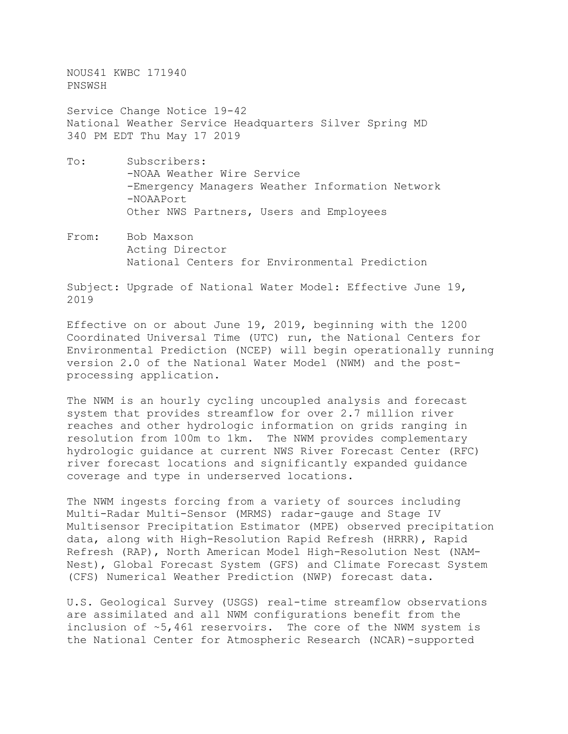NOUS41 KWBC 171940 PNSWSH

Service Change Notice 19-42 National Weather Service Headquarters Silver Spring MD 340 PM EDT Thu May 17 2019

- To: Subscribers: -NOAA Weather Wire Service -Emergency Managers Weather Information Network -NOAAPort Other NWS Partners, Users and Employees
- From: Bob Maxson Acting Director National Centers for Environmental Prediction

Subject: Upgrade of National Water Model: Effective June 19, 2019

Effective on or about June 19, 2019, beginning with the 1200 Coordinated Universal Time (UTC) run, the National Centers for Environmental Prediction (NCEP) will begin operationally running version 2.0 of the National Water Model (NWM) and the postprocessing application.

The NWM is an hourly cycling uncoupled analysis and forecast system that provides streamflow for over 2.7 million river reaches and other hydrologic information on grids ranging in resolution from 100m to 1km. The NWM provides complementary hydrologic guidance at current NWS River Forecast Center (RFC) river forecast locations and significantly expanded guidance coverage and type in underserved locations.

The NWM ingests forcing from a variety of sources including Multi-Radar Multi-Sensor (MRMS) radar-gauge and Stage IV Multisensor Precipitation Estimator (MPE) observed precipitation data, along with High-Resolution Rapid Refresh (HRRR), Rapid Refresh (RAP), North American Model High-Resolution Nest (NAM-Nest), Global Forecast System (GFS) and Climate Forecast System (CFS) Numerical Weather Prediction (NWP) forecast data.

U.S. Geological Survey (USGS) real-time streamflow observations are assimilated and all NWM configurations benefit from the inclusion of ~5,461 reservoirs. The core of the NWM system is the National Center for Atmospheric Research (NCAR)-supported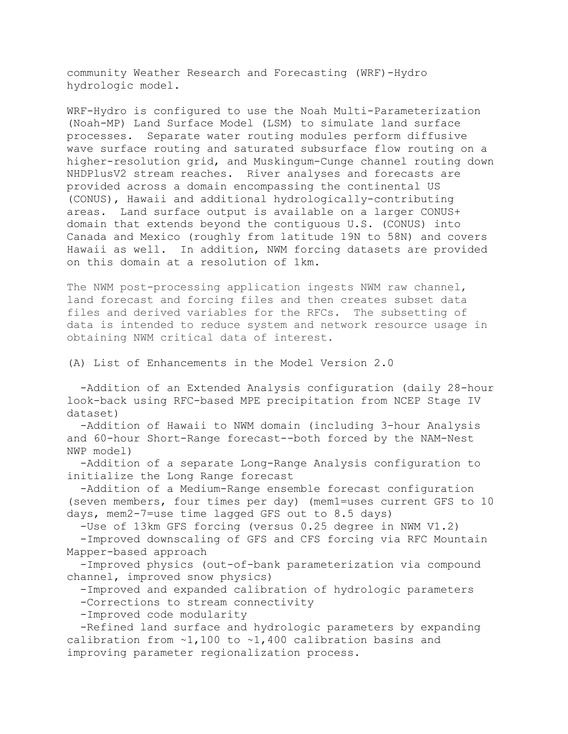community Weather Research and Forecasting (WRF)-Hydro hydrologic model.

WRF-Hydro is configured to use the Noah Multi-Parameterization (Noah-MP) Land Surface Model (LSM) to simulate land surface processes. Separate water routing modules perform diffusive wave surface routing and saturated subsurface flow routing on a higher-resolution grid, and Muskingum-Cunge channel routing down NHDPlusV2 stream reaches. River analyses and forecasts are provided across a domain encompassing the continental US (CONUS), Hawaii and additional hydrologically-contributing areas. Land surface output is available on a larger CONUS+ domain that extends beyond the contiguous U.S. (CONUS) into Canada and Mexico (roughly from latitude 19N to 58N) and covers Hawaii as well. In addition, NWM forcing datasets are provided on this domain at a resolution of 1km.

The NWM post-processing application ingests NWM raw channel, land forecast and forcing files and then creates subset data files and derived variables for the RFCs. The subsetting of data is intended to reduce system and network resource usage in obtaining NWM critical data of interest.

(A) List of Enhancements in the Model Version 2.0

 -Addition of an Extended Analysis configuration (daily 28-hour look-back using RFC-based MPE precipitation from NCEP Stage IV dataset)

 -Addition of Hawaii to NWM domain (including 3-hour Analysis and 60-hour Short-Range forecast--both forced by the NAM-Nest NWP model)

 -Addition of a separate Long-Range Analysis configuration to initialize the Long Range forecast

 -Addition of a Medium-Range ensemble forecast configuration (seven members, four times per day) (mem1=uses current GFS to 10 days, mem2-7=use time lagged GFS out to 8.5 days)

-Use of 13km GFS forcing (versus 0.25 degree in NWM V1.2)

 -Improved downscaling of GFS and CFS forcing via RFC Mountain Mapper-based approach

 -Improved physics (out-of-bank parameterization via compound channel, improved snow physics)

-Improved and expanded calibration of hydrologic parameters

-Corrections to stream connectivity

-Improved code modularity

 -Refined land surface and hydrologic parameters by expanding calibration from ~1,100 to ~1,400 calibration basins and improving parameter regionalization process.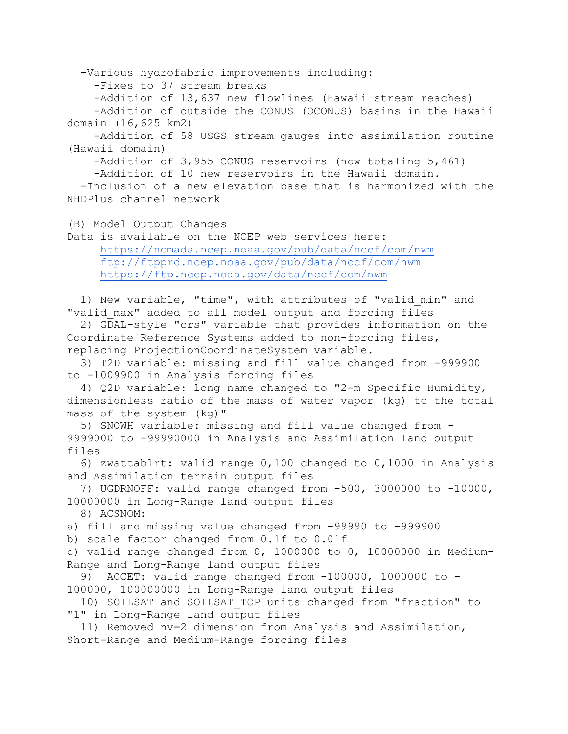-Various hydrofabric improvements including:

-Fixes to 37 stream breaks

-Addition of 13,637 new flowlines (Hawaii stream reaches)

 -Addition of outside the CONUS (OCONUS) basins in the Hawaii domain (16,625 km2)

 -Addition of 58 USGS stream gauges into assimilation routine (Hawaii domain)

-Addition of 3,955 CONUS reservoirs (now totaling 5,461)

-Addition of 10 new reservoirs in the Hawaii domain.

 -Inclusion of a new elevation base that is harmonized with the NHDPlus channel network

(B) Model Output Changes

Data is available on the NCEP web services here: <https://nomads.ncep.noaa.gov/pub/data/nccf/com/nwm> <ftp://ftpprd.ncep.noaa.gov/pub/data/nccf/com/nwm> <https://ftp.ncep.noaa.gov/data/nccf/com/nwm>

 1) New variable, "time", with attributes of "valid\_min" and "valid\_max" added to all model output and forcing files

 2) GDAL-style "crs" variable that provides information on the Coordinate Reference Systems added to non-forcing files, replacing ProjectionCoordinateSystem variable.

 3) T2D variable: missing and fill value changed from -999900 to -1009900 in Analysis forcing files

 4) Q2D variable: long name changed to "2-m Specific Humidity, dimensionless ratio of the mass of water vapor (kg) to the total mass of the system (kg)"

 5) SNOWH variable: missing and fill value changed from - 9999000 to -99990000 in Analysis and Assimilation land output files

 6) zwattablrt: valid range 0,100 changed to 0,1000 in Analysis and Assimilation terrain output files

 7) UGDRNOFF: valid range changed from -500, 3000000 to -10000, 10000000 in Long-Range land output files

8) ACSNOM:

a) fill and missing value changed from -99990 to -999900

b) scale factor changed from 0.1f to 0.01f

c) valid range changed from  $0, 1000000$  to  $0, 10000000$  in Medium-Range and Long-Range land output files<br>9) ACCET: valid range changed from

ACCET: valid range changed from  $-100000$ , 1000000 to -100000, 100000000 in Long-Range land output files

 10) SOILSAT and SOILSAT\_TOP units changed from "fraction" to "1" in Long-Range land output files

 11) Removed nv=2 dimension from Analysis and Assimilation, Short-Range and Medium-Range forcing files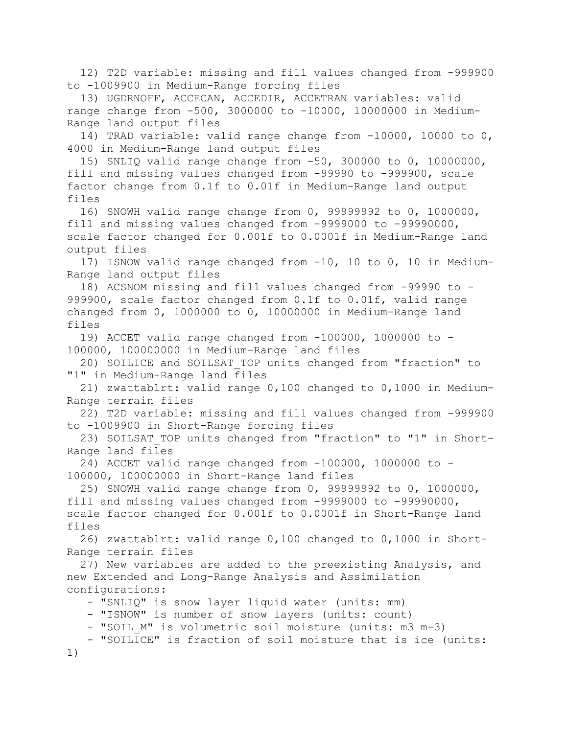12) T2D variable: missing and fill values changed from -999900 to -1009900 in Medium-Range forcing files

 13) UGDRNOFF, ACCECAN, ACCEDIR, ACCETRAN variables: valid range change from -500, 3000000 to -10000, 10000000 in Medium-Range land output files

 14) TRAD variable: valid range change from -10000, 10000 to 0, 4000 in Medium-Range land output files

 15) SNLIQ valid range change from -50, 300000 to 0, 10000000, fill and missing values changed from -99990 to -999900, scale factor change from 0.1f to 0.01f in Medium-Range land output files

 16) SNOWH valid range change from 0, 99999992 to 0, 1000000, fill and missing values changed from -9999000 to -99990000, scale factor changed for 0.001f to 0.0001f in Medium-Range land output files

 17) ISNOW valid range changed from -10, 10 to 0, 10 in Medium-Range land output files

 18) ACSNOM missing and fill values changed from -99990 to - 999900, scale factor changed from 0.1f to 0.01f, valid range changed from 0, 1000000 to 0, 10000000 in Medium-Range land files

 19) ACCET valid range changed from -100000, 1000000 to - 100000, 100000000 in Medium-Range land files

 20) SOILICE and SOILSAT\_TOP units changed from "fraction" to "1" in Medium-Range land files

 21) zwattablrt: valid range 0,100 changed to 0,1000 in Medium-Range terrain files

 22) T2D variable: missing and fill values changed from -999900 to -1009900 in Short-Range forcing files

23) SOILSAT TOP units changed from "fraction" to "1" in Short-Range land files

 24) ACCET valid range changed from -100000, 1000000 to - 100000, 100000000 in Short-Range land files

 25) SNOWH valid range change from 0, 99999992 to 0, 1000000, fill and missing values changed from -9999000 to -99990000, scale factor changed for 0.001f to 0.0001f in Short-Range land files

 26) zwattablrt: valid range 0,100 changed to 0,1000 in Short-Range terrain files

 27) New variables are added to the preexisting Analysis, and new Extended and Long-Range Analysis and Assimilation configurations:

- "SNLIQ" is snow layer liquid water (units: mm)

- "ISNOW" is number of snow layers (units: count)

- "SOIL M" is volumetric soil moisture (units: m3 m-3)

 - "SOILICE" is fraction of soil moisture that is ice (units: 1)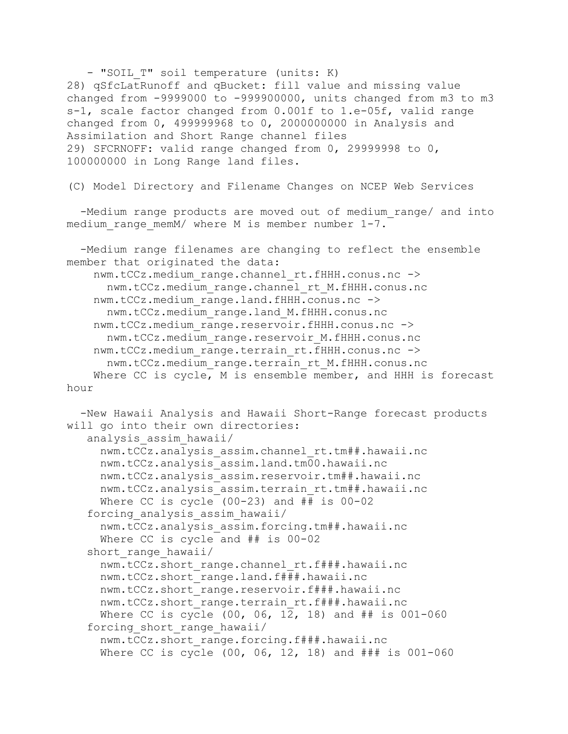- "SOIL T" soil temperature (units: K) 28) qSfcLatRunoff and qBucket: fill value and missing value changed from -9999000 to -999900000, units changed from m3 to m3 s-1, scale factor changed from 0.001f to 1.e-05f, valid range changed from 0, 499999968 to 0, 2000000000 in Analysis and Assimilation and Short Range channel files 29) SFCRNOFF: valid range changed from 0, 29999998 to 0, 100000000 in Long Range land files.

(C) Model Directory and Filename Changes on NCEP Web Services

-Medium range products are moved out of medium range/ and into medium range memM/ where M is member number 1-7.

 -Medium range filenames are changing to reflect the ensemble member that originated the data: nwm.tCCz.medium range.channel rt.fHHH.conus.nc -> nwm.tCCz.medium\_range.channel\_rt\_M.fHHH.conus.nc nwm.tCCz.medium range.land.fHHH.conus.nc -> nwm.tCCz.medium\_range.land\_M.fHHH.conus.nc nwm.tCCz.medium\_range.reservoir.fHHH.conus.nc -> nwm.tCCz.medium\_range.reservoir\_M.fHHH.conus.nc nwm.tCCz.medium range.terrain rt.fHHH.conus.nc -> nwm.tCCz.medium\_range.terrain\_rt\_M.fHHH.conus.nc Where CC is cycle, M is ensemble member, and HHH is forecast hour

```
 -New Hawaii Analysis and Hawaii Short-Range forecast products 
will go into their own directories:
    analysis_assim_hawaii/
      nwm.tCCz.analysis_assim.channel_rt.tm##.hawaii.nc
      nwm.tCCz.analysis_assim.land.tm00.hawaii.nc
      nwm.tCCz.analysis_assim.reservoir.tm##.hawaii.nc
      nwm.tCCz.analysis_assim.terrain_rt.tm##.hawaii.nc
      Where CC is cycle (00-23) and ## is 00-02
    forcing_analysis_assim_hawaii/
      nwm.tCCz.analysis_assim.forcing.tm##.hawaii.nc
      Where CC is cycle and ## is 00-02
   short range hawaii/
      nwm.tCCz.short_range.channel_rt.f###.hawaii.nc
      nwm.tCCz.short_range.land.f###.hawaii.nc
      nwm.tCCz.short_range.reservoir.f###.hawaii.nc
      nwm.tCCz.short_range.terrain_rt.f###.hawaii.nc
      Where CC is cycle (00, 06, 12, 18) and ## is 001-060
   forcing short range hawaii/
      nwm.tCCz.short_range.forcing.f###.hawaii.nc
     Where CC is cycle (00, 06, 12, 18) and ### is 001-060
```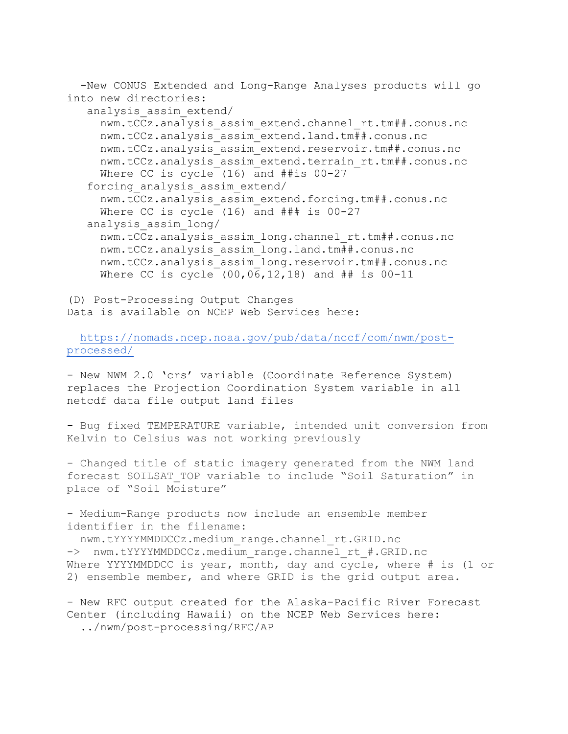-New CONUS Extended and Long-Range Analyses products will go into new directories:

analysis\_assim\_extend/

 nwm.tCCz.analysis\_assim\_extend.channel\_rt.tm##.conus.nc nwm.tCCz.analysis\_assim\_extend.land.tm##.conus.nc nwm.tCCz.analysis\_assim\_extend.reservoir.tm##.conus.nc nwm.tCCz.analysis\_assim\_extend.terrain\_rt.tm##.conus.nc Where CC is cycle (16) and ##is 00-27 forcing\_analysis\_assim\_extend/ nwm.tCCz.analysis\_assim\_extend.forcing.tm##.conus.nc Where CC is cycle (16) and ### is 00-27 analysis\_assim\_long/ nwm.tCCz.analysis\_assim\_long.channel\_rt.tm##.conus.nc nwm.tCCz.analysis\_assim\_long.land.tm##.conus.nc nwm.tCCz.analysis\_assim\_long.reservoir.tm##.conus.nc Where CC is cycle (00,06,12,18) and ## is 00-11

(D) Post-Processing Output Changes Data is available on NCEP Web Services here:

 [https://nomads.ncep.noaa.gov/pub/data/nccf/com/nwm/post](https://nomads.ncep.noaa.gov/pub/data/nccf/com/nwm/post-processed/)[processed/](https://nomads.ncep.noaa.gov/pub/data/nccf/com/nwm/post-processed/)

- New NWM 2.0 'crs' variable (Coordinate Reference System) replaces the Projection Coordination System variable in all netcdf data file output land files

- Bug fixed TEMPERATURE variable, intended unit conversion from Kelvin to Celsius was not working previously

- Changed title of static imagery generated from the NWM land forecast SOILSAT\_TOP variable to include "Soil Saturation" in place of "Soil Moisture"

- Medium-Range products now include an ensemble member identifier in the filename:

 nwm.tYYYYMMDDCCz.medium\_range.channel\_rt.GRID.nc -> nwm.tYYYYMMDDCCz.medium range.channel rt #.GRID.nc Where YYYYMMDDCC is year, month, day and cycle, where # is (1 or 2) ensemble member, and where GRID is the grid output area.

- New RFC output created for the Alaska-Pacific River Forecast Center (including Hawaii) on the NCEP Web Services here: ../nwm/post-processing/RFC/AP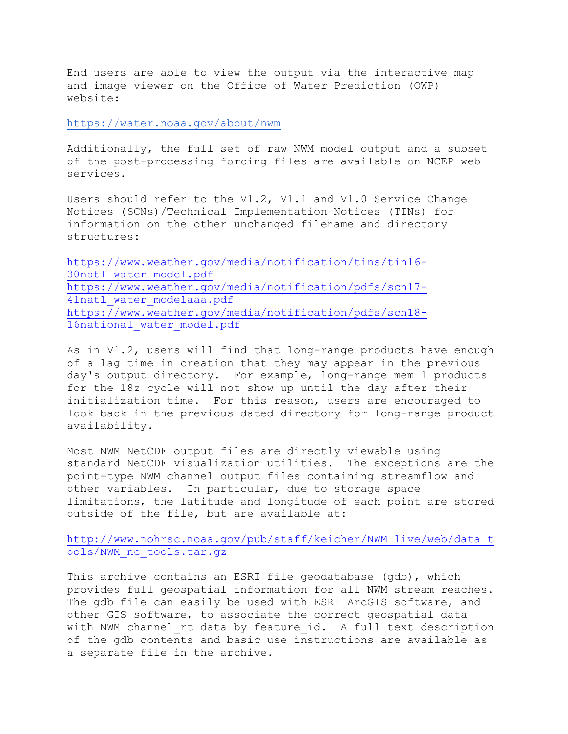End users are able to view the output via the interactive map and image viewer on the Office of Water Prediction (OWP) website:

<https://water.noaa.gov/about/nwm>

Additionally, the full set of raw NWM model output and a subset of the post-processing forcing files are available on NCEP web services.

Users should refer to the V1.2, V1.1 and V1.0 Service Change Notices (SCNs)/Technical Implementation Notices (TINs) for information on the other unchanged filename and directory structures:

[https://www.weather.gov/media/notification/tins/tin16-](https://www.weather.gov/media/notification/tins/tin16-30natl_water_model.pdf) [30natl\\_water\\_model.pdf](https://www.weather.gov/media/notification/tins/tin16-30natl_water_model.pdf) [https://www.weather.gov/media/notification/pdfs/scn17-](https://www.weather.gov/media/notification/pdfs/scn17-41natl_water_modelaaa.pdf) 41natl water modelaaa.pdf [https://www.weather.gov/media/notification/pdfs/scn18-](https://www.weather.gov/media/notification/pdfs/scn18-16national_water_model.pdf) 16national water model.pdf

As in V1.2, users will find that long-range products have enough of a lag time in creation that they may appear in the previous day's output directory. For example, long-range mem 1 products for the 18z cycle will not show up until the day after their initialization time. For this reason, users are encouraged to look back in the previous dated directory for long-range product availability.

Most NWM NetCDF output files are directly viewable using standard NetCDF visualization utilities. The exceptions are the point-type NWM channel output files containing streamflow and other variables. In particular, due to storage space limitations, the latitude and longitude of each point are stored outside of the file, but are available at:

[http://www.nohrsc.noaa.gov/pub/staff/keicher/NWM\\_live/web/data\\_t](http://www.nohrsc.noaa.gov/pub/staff/keicher/NWM_live/web/data_tools/NWM_nc_tools.tar.gz) [ools/NWM\\_nc\\_tools.tar.gz](http://www.nohrsc.noaa.gov/pub/staff/keicher/NWM_live/web/data_tools/NWM_nc_tools.tar.gz)

This archive contains an ESRI file geodatabase (gdb), which provides full geospatial information for all NWM stream reaches. The gdb file can easily be used with ESRI ArcGIS software, and other GIS software, to associate the correct geospatial data with NWM channel rt data by feature id. A full text description of the gdb contents and basic use instructions are available as a separate file in the archive.